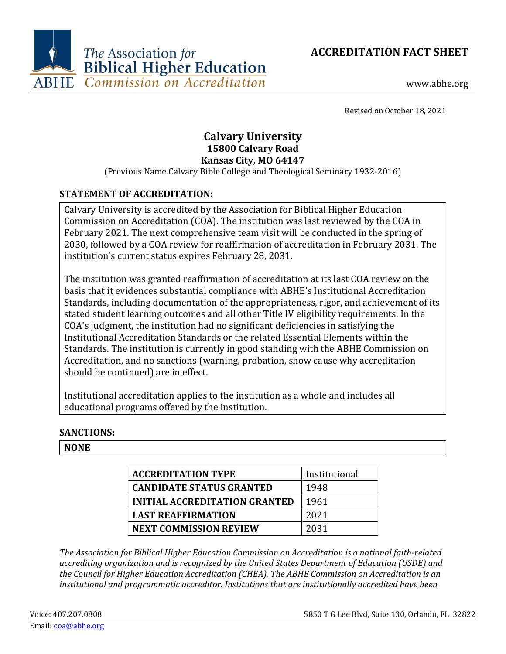



www.abhe.org

Revised on October 18, 2021

# **Calvary University 15800 Calvary Road Kansas City, MO 64147**

(Previous Name Calvary Bible College and Theological Seminary 1932-2016)

# **STATEMENT OF ACCREDITATION:**

Calvary University is accredited by the Association for Biblical Higher Education Commission on Accreditation (COA). The institution was last reviewed by the COA in February 2021. The next comprehensive team visit will be conducted in the spring of 2030, followed by a COA review for reaffirmation of accreditation in February 2031. The institution's current status expires February 28, 2031.

The institution was granted reaffirmation of accreditation at its last COA review on the basis that it evidences substantial compliance with ABHE's Institutional Accreditation Standards, including documentation of the appropriateness, rigor, and achievement of its stated student learning outcomes and all other Title IV eligibility requirements. In the COA's judgment, the institution had no significant deficiencies in satisfying the Institutional Accreditation Standards or the related Essential Elements within the Standards. The institution is currently in good standing with the ABHE Commission on Accreditation, and no sanctions (warning, probation, show cause why accreditation should be continued) are in effect.

Institutional accreditation applies to the institution as a whole and includes all educational programs offered by the institution.

# **SANCTIONS:**

### **NONE**

| <b>ACCREDITATION TYPE</b>            | Institutional |
|--------------------------------------|---------------|
| <b>CANDIDATE STATUS GRANTED</b>      | 1948          |
| <b>INITIAL ACCREDITATION GRANTED</b> | 1961          |
| <b>LAST REAFFIRMATION</b>            | 2021          |
| <b>NEXT COMMISSION REVIEW</b>        | 2031          |

*The Association for Biblical Higher Education Commission on Accreditation is a national faith-related accrediting organization and is recognized by the United States Department of Education (USDE) and the Council for Higher Education Accreditation (CHEA). The ABHE Commission on Accreditation is an institutional and programmatic accreditor. Institutions that are institutionally accredited have been*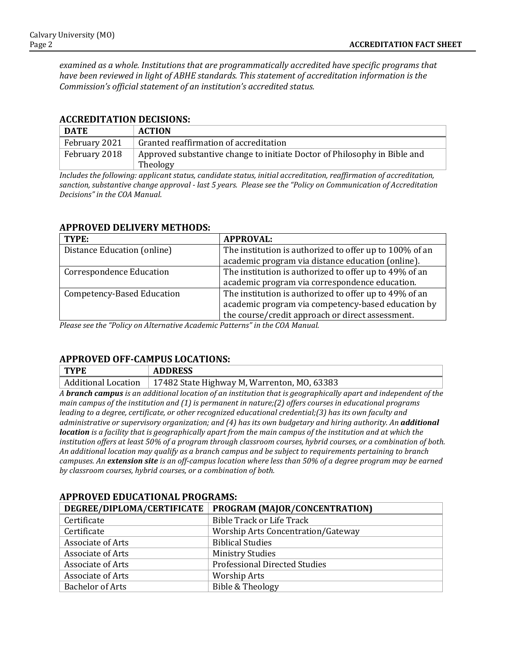*examined as a whole. Institutions that are programmatically accredited have specific programs that have been reviewed in light of ABHE standards. This statement of accreditation information is the Commission's official statement of an institution's accredited status.*

#### **ACCREDITATION DECISIONS:**

| <b>DATE</b>   | <b>ACTION</b>                                                                         |
|---------------|---------------------------------------------------------------------------------------|
| February 2021 | Granted reaffirmation of accreditation                                                |
| February 2018 | Approved substantive change to initiate Doctor of Philosophy in Bible and<br>Theology |

*Includes the following: applicant status, candidate status, initial accreditation, reaffirmation of accreditation, sanction, substantive change approval - last 5 years. Please see the "Policy on Communication of Accreditation Decisions" in the COA Manual.*

| TYPE:                           | <b>APPROVAL:</b>                                        |
|---------------------------------|---------------------------------------------------------|
| Distance Education (online)     | The institution is authorized to offer up to 100% of an |
|                                 | academic program via distance education (online).       |
| <b>Correspondence Education</b> | The institution is authorized to offer up to 49% of an  |
|                                 | academic program via correspondence education.          |
| Competency-Based Education      | The institution is authorized to offer up to 49% of an  |
|                                 | academic program via competency-based education by      |
|                                 | the course/credit approach or direct assessment.        |

#### **APPROVED DELIVERY METHODS:**

*Please see the "Policy on Alternative Academic Patterns" in the COA Manual.*

### **APPROVED OFF-CAMPUS LOCATIONS:**

| <b>TYPE</b> | <b>ADDRESS</b> |
|-------------|----------------|
|-------------|----------------|

Additional Location | 17482 State Highway M, Warrenton, MO, 63383

*A branch campus is an additional location of an institution that is geographically apart and independent of the main campus of the institution and (1) is permanent in nature;(2) offers courses in educational programs leading to a degree, certificate, or other recognized educational credential;(3) has its own faculty and administrative or supervisory organization; and (4) has its own budgetary and hiring authority. An additional location is a facility that is geographically apart from the main campus of the institution and at which the institution offers at least 50% of a program through classroom courses, hybrid courses, or a combination of both. An additional location may qualify as a branch campus and be subject to requirements pertaining to branch campuses. An extension site is an off-campus location where less than 50% of a degree program may be earned by classroom courses, hybrid courses, or a combination of both.*

| <u>ALLAW LD DDWALIWAD LAVARIID.</u> |                                                            |  |
|-------------------------------------|------------------------------------------------------------|--|
|                                     | DEGREE/DIPLOMA/CERTIFICATE   PROGRAM (MAJOR/CONCENTRATION) |  |
| Certificate                         | <b>Bible Track or Life Track</b>                           |  |
| Certificate                         | <b>Worship Arts Concentration/Gateway</b>                  |  |
| Associate of Arts                   | <b>Biblical Studies</b>                                    |  |
| Associate of Arts                   | <b>Ministry Studies</b>                                    |  |
| Associate of Arts                   | <b>Professional Directed Studies</b>                       |  |
| Associate of Arts                   | <b>Worship Arts</b>                                        |  |
| <b>Bachelor of Arts</b>             | Bible & Theology                                           |  |

### **APPROVED EDUCATIONAL PROGRAMS:**